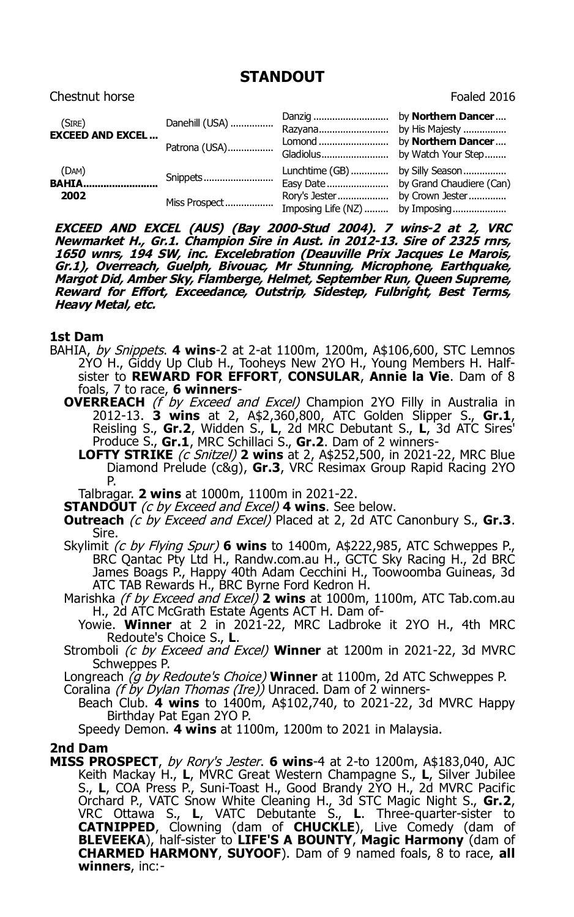## **STANDOUT**

| Chestnut horse                    |                                 |                                                   | Foaled 2016                                                                      |
|-----------------------------------|---------------------------------|---------------------------------------------------|----------------------------------------------------------------------------------|
| (SIRE)<br><b>EXCEED AND EXCEL</b> | Danehill (USA)<br>Patrona (USA) | Danzig<br>Razyana<br>Lomond<br>Gladiolus          | by Northern Dancer<br>by His Majesty<br>by Northern Dancer<br>by Watch Your Step |
| (DAM)<br><b>BAHIA</b><br>2002     | Snippets<br>Miss Prospect       | Lunchtime (GB)<br>Easy Date<br>Imposing Life (NZ) | by Silly Season<br>by Grand Chaudiere (Can)<br>by Imposing                       |

**EXCEED AND EXCEL (AUS) (Bay 2000-Stud 2004). 7 wins-2 at 2, VRC Newmarket H., Gr.1. Champion Sire in Aust. in 2012-13. Sire of 2325 rnrs, 1650 wnrs, 194 SW, inc. Excelebration (Deauville Prix Jacques Le Marois, Gr.1), Overreach, Guelph, Bivouac, Mr Stunning, Microphone, Earthquake, Margot Did, Amber Sky, Flamberge, Helmet, September Run, Queen Supreme, Reward for Effort, Exceedance, Outstrip, Sidestep, Fulbright, Best Terms, Heavy Metal, etc.**

## **1st Dam**

- BAHIA, by Snippets. **4 wins**-2 at 2-at 1100m, 1200m, A\$106,600, STC Lemnos 2YO H., Giddy Up Club H., Tooheys New 2YO H., Young Members H. Halfsister to **REWARD FOR EFFORT**, **CONSULAR**, **Annie la Vie**. Dam of 8 foals, 7 to race, **6 winners**-
	- **OVERREACH** (f by Exceed and Excel) Champion 2YO Filly in Australia in 2012-13. **3 wins** at 2, A\$2,360,800, ATC Golden Slipper S., **Gr.1**, Reisling S., **Gr.2**, Widden S., **L**, 2d MRC Debutant S., **L**, 3d ATC Sires' Produce S., **Gr.1**, MRC Schillaci S., **Gr.2**. Dam of 2 winners-
		- **LOFTY STRIKE** *(c Snitzel)* 2 wins at 2, A\$252,500, in 2021-22, MRC Blue Diamond Prelude (c&g), **Gr.3**, VRC Resimax Group Rapid Racing 2YO P.

Talbragar. **2 wins** at 1000m, 1100m in 2021-22.

- **STANDOUT** (c by Exceed and Excel) **4 wins**. See below.
- **Outreach** (c by Exceed and Excel) Placed at 2, 2d ATC Canonbury S., **Gr.3**. Sire.
- Skylimit (c by Flying Spur) **6 wins** to 1400m, A\$222,985, ATC Schweppes P., BRC Qantac Pty Ltd H., Randw.com.au H., GCTC Sky Racing H., 2d BRC James Boags P., Happy 40th Adam Cecchini H., Toowoomba Guineas, 3d ATC TAB Rewards H., BRC Byrne Ford Kedron H.
- Marishka (f by Exceed and Excel) **2 wins** at 1000m, 1100m, ATC Tab.com.au H., 2d ATC McGrath Estate Agents ACT H. Dam of-
	- Yowie. **Winner** at 2 in 2021-22, MRC Ladbroke it 2YO H., 4th MRC Redoute's Choice S., **L**.
- Stromboli (c by Exceed and Excel) **Winner** at 1200m in 2021-22, 3d MVRC Schweppes P.

Longreach (g by Redoute's Choice) **Winner** at 1100m, 2d ATC Schweppes P.

Coralina (f by Dylan Thomas (Ire)) Unraced. Dam of 2 winners-

Beach Club. **4 wins** to 1400m, A\$102,740, to 2021-22, 3d MVRC Happy Birthday Pat Egan 2YO P.

Speedy Demon. **4 wins** at 1100m, 1200m to 2021 in Malaysia.

## **2nd Dam**

**MISS PROSPECT**, by Rory's Jester. **6 wins**-4 at 2-to 1200m, A\$183,040, AJC Keith Mackay H., **L**, MVRC Great Western Champagne S., **L**, Silver Jubilee S., **L**, COA Press P., Suni-Toast H., Good Brandy 2YO H., 2d MVRC Pacific Orchard P., VATC Snow White Cleaning H., 3d STC Magic Night S., **Gr.2**, VRC Ottawa S., **L**, VATC Debutante S., **L**. Three-quarter-sister to **CATNIPPED**, Clowning (dam of **CHUCKLE**), Live Comedy (dam of **BLEVEEKA**), half-sister to **LIFE'S A BOUNTY**, **Magic Harmony** (dam of **CHARMED HARMONY**, **SUYOOF**). Dam of 9 named foals, 8 to race, **all winners**, inc:-